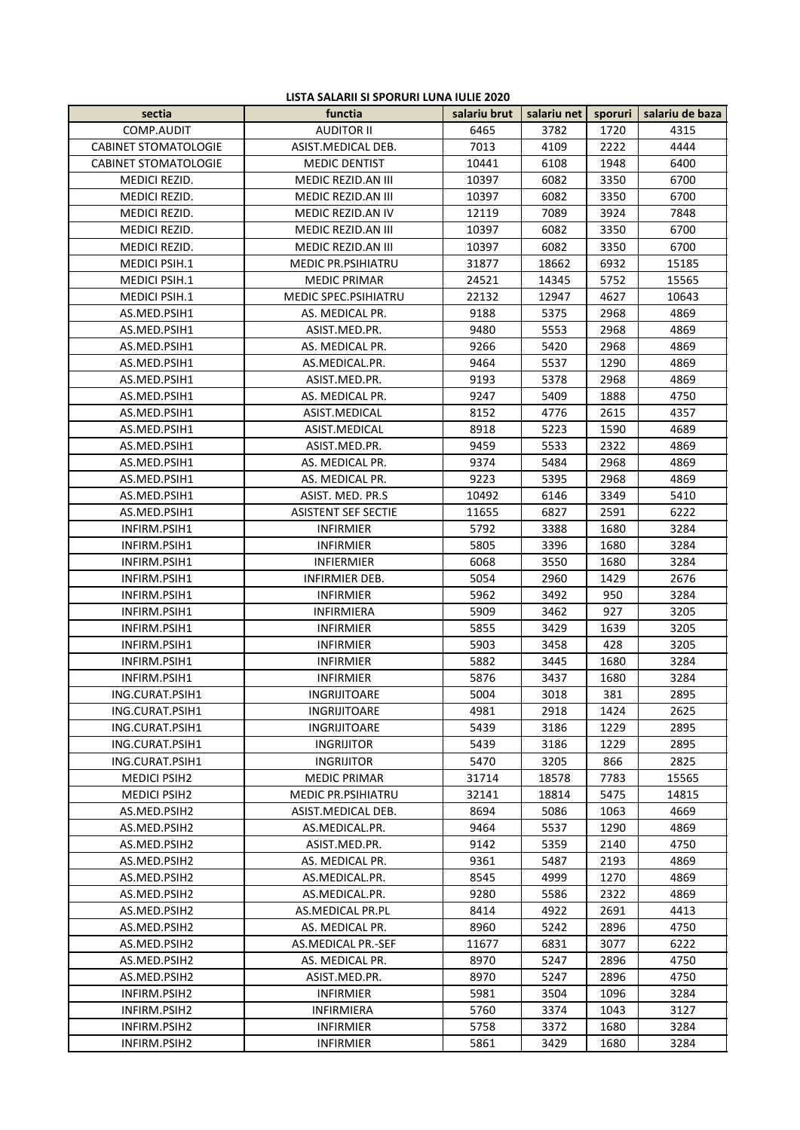## **LISTA SALARII SI SPORURI LUNA IULIE 2020**

| sectia                      | functia                     | salariu brut | salariu net | sporuri | salariu de baza |
|-----------------------------|-----------------------------|--------------|-------------|---------|-----------------|
| COMP.AUDIT                  | <b>AUDITOR II</b>           | 6465         | 3782        | 1720    | 4315            |
| <b>CABINET STOMATOLOGIE</b> | ASIST.MEDICAL DEB.          | 7013         | 4109        | 2222    | 4444            |
| <b>CABINET STOMATOLOGIE</b> | <b>MEDIC DENTIST</b>        | 10441        | 6108        | 1948    | 6400            |
| MEDICI REZID.               | MEDIC REZID.AN III          | 10397        | 6082        | 3350    | 6700            |
| MEDICI REZID.               | MEDIC REZID.AN III          | 10397        | 6082        | 3350    | 6700            |
| MEDICI REZID.               | MEDIC REZID.AN IV           | 12119        | 7089        | 3924    | 7848            |
| MEDICI REZID.               | MEDIC REZID.AN III          | 10397        | 6082        | 3350    | 6700            |
| MEDICI REZID.               | MEDIC REZID.AN III          | 10397        | 6082        | 3350    | 6700            |
| <b>MEDICI PSIH.1</b>        | <b>MEDIC PR.PSIHIATRU</b>   | 31877        | 18662       | 6932    | 15185           |
| <b>MEDICI PSIH.1</b>        | <b>MEDIC PRIMAR</b>         | 24521        | 14345       | 5752    | 15565           |
| MEDICI PSIH.1               | <b>MEDIC SPEC.PSIHIATRU</b> | 22132        | 12947       | 4627    | 10643           |
| AS.MED.PSIH1                | AS. MEDICAL PR.             | 9188         | 5375        | 2968    | 4869            |
| AS.MED.PSIH1                | ASIST.MED.PR.               | 9480         | 5553        | 2968    | 4869            |
| AS.MED.PSIH1                | AS. MEDICAL PR.             | 9266         | 5420        | 2968    | 4869            |
| AS.MED.PSIH1                | AS.MEDICAL.PR.              | 9464         | 5537        | 1290    | 4869            |
| AS.MED.PSIH1                | ASIST.MED.PR.               | 9193         | 5378        | 2968    | 4869            |
| AS.MED.PSIH1                | AS. MEDICAL PR.             | 9247         | 5409        | 1888    | 4750            |
| AS.MED.PSIH1                | ASIST.MEDICAL               | 8152         | 4776        | 2615    | 4357            |
| AS.MED.PSIH1                | ASIST.MEDICAL               | 8918         | 5223        | 1590    | 4689            |
| AS.MED.PSIH1                | ASIST.MED.PR.               | 9459         | 5533        | 2322    | 4869            |
| AS.MED.PSIH1                | AS. MEDICAL PR.             | 9374         | 5484        | 2968    | 4869            |
| AS.MED.PSIH1                | AS. MEDICAL PR.             | 9223         | 5395        | 2968    | 4869            |
| AS.MED.PSIH1                | ASIST. MED. PR.S            | 10492        | 6146        | 3349    | 5410            |
| AS.MED.PSIH1                | <b>ASISTENT SEF SECTIE</b>  | 11655        | 6827        | 2591    | 6222            |
| INFIRM.PSIH1                | <b>INFIRMIER</b>            | 5792         | 3388        | 1680    | 3284            |
| INFIRM.PSIH1                | <b>INFIRMIER</b>            | 5805         | 3396        | 1680    | 3284            |
| INFIRM.PSIH1                | INFIERMIER                  | 6068         | 3550        | 1680    | 3284            |
| INFIRM.PSIH1                | INFIRMIER DEB.              | 5054         | 2960        | 1429    | 2676            |
| INFIRM.PSIH1                | <b>INFIRMIER</b>            | 5962         | 3492        | 950     | 3284            |
| INFIRM.PSIH1                | <b>INFIRMIERA</b>           | 5909         | 3462        | 927     | 3205            |
| INFIRM.PSIH1                | <b>INFIRMIER</b>            | 5855         | 3429        | 1639    | 3205            |
| INFIRM.PSIH1                | <b>INFIRMIER</b>            | 5903         | 3458        | 428     | 3205            |
| INFIRM.PSIH1                | <b>INFIRMIER</b>            | 5882         | 3445        | 1680    | 3284            |
| INFIRM.PSIH1                | <b>INFIRMIER</b>            | 5876         | 3437        | 1680    | 3284            |
| ING.CURAT.PSIH1             | <b>INGRIJITOARE</b>         | 5004         | 3018        | 381     | 2895            |
| ING.CURAT.PSIH1             | INGRIJITOARE                | 4981         | 2918        | 1424    | 2625            |
| ING.CURAT.PSIH1             | INGRIJITOARE                | 5439         | 3186        | 1229    | 2895            |
| ING.CURAT.PSIH1             | <b>INGRIJITOR</b>           | 5439         | 3186        | 1229    | 2895            |
| ING.CURAT.PSIH1             | <b>INGRIJITOR</b>           | 5470         | 3205        | 866     | 2825            |
| <b>MEDICI PSIH2</b>         | <b>MEDIC PRIMAR</b>         | 31714        | 18578       | 7783    | 15565           |
| <b>MEDICI PSIH2</b>         | <b>MEDIC PR.PSIHIATRU</b>   | 32141        | 18814       | 5475    | 14815           |
| AS.MED.PSIH2                | ASIST. MEDICAL DEB.         | 8694         | 5086        | 1063    | 4669            |
| AS.MED.PSIH2                | AS.MEDICAL.PR.              | 9464         | 5537        | 1290    | 4869            |
| AS.MED.PSIH2                | ASIST.MED.PR.               | 9142         | 5359        | 2140    | 4750            |
| AS.MED.PSIH2                | AS. MEDICAL PR.             | 9361         | 5487        | 2193    | 4869            |
| AS.MED.PSIH2                | AS.MEDICAL.PR.              | 8545         | 4999        | 1270    | 4869            |
| AS.MED.PSIH2                | AS.MEDICAL.PR.              | 9280         | 5586        | 2322    | 4869            |
| AS.MED.PSIH2                | AS.MEDICAL PR.PL            | 8414         | 4922        | 2691    | 4413            |
| AS.MED.PSIH2                | AS. MEDICAL PR.             | 8960         | 5242        | 2896    | 4750            |
| AS.MED.PSIH2                | AS.MEDICAL PR.-SEF          | 11677        | 6831        | 3077    | 6222            |
| AS.MED.PSIH2                | AS. MEDICAL PR.             | 8970         | 5247        | 2896    | 4750            |
| AS.MED.PSIH2                | ASIST.MED.PR.               | 8970         | 5247        | 2896    | 4750            |
| INFIRM.PSIH2                | <b>INFIRMIER</b>            | 5981         | 3504        | 1096    | 3284            |
| INFIRM.PSIH2                | INFIRMIERA                  | 5760         | 3374        | 1043    | 3127            |
| INFIRM.PSIH2                | <b>INFIRMIER</b>            | 5758         | 3372        | 1680    | 3284            |
| INFIRM.PSIH2                | <b>INFIRMIER</b>            | 5861         | 3429        | 1680    | 3284            |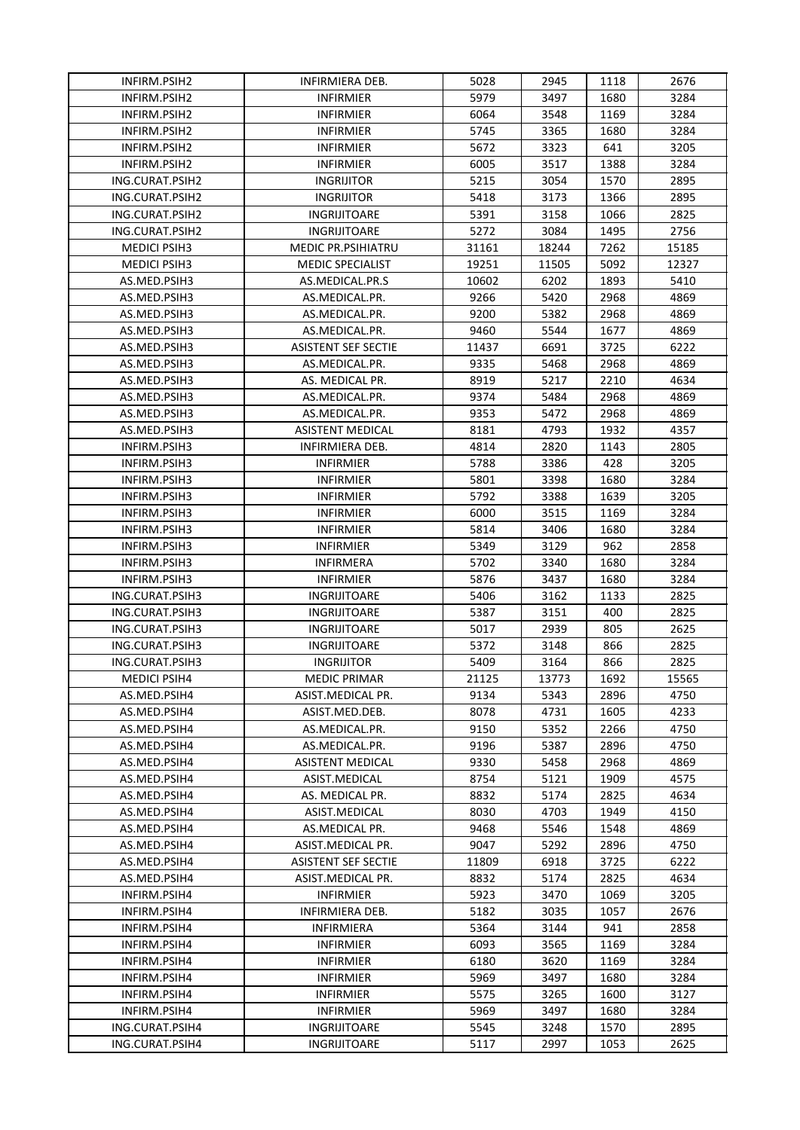| INFIRM.PSIH2                 | INFIRMIERA DEB.           | 5028  | 2945  | 1118 | 2676  |
|------------------------------|---------------------------|-------|-------|------|-------|
| INFIRM.PSIH2                 | <b>INFIRMIER</b>          | 5979  | 3497  | 1680 | 3284  |
| INFIRM.PSIH2                 | <b>INFIRMIER</b>          | 6064  | 3548  | 1169 | 3284  |
| INFIRM.PSIH2                 | <b>INFIRMIER</b>          | 5745  | 3365  | 1680 | 3284  |
| INFIRM.PSIH2                 | <b>INFIRMIER</b>          | 5672  | 3323  | 641  | 3205  |
| INFIRM.PSIH2                 | <b>INFIRMIER</b>          | 6005  | 3517  | 1388 | 3284  |
| ING.CURAT.PSIH2              | <b>INGRIJITOR</b>         | 5215  | 3054  | 1570 | 2895  |
| ING.CURAT.PSIH2              | <b>INGRIJITOR</b>         | 5418  | 3173  | 1366 | 2895  |
| ING.CURAT.PSIH2              | INGRIJITOARE              | 5391  | 3158  | 1066 | 2825  |
| ING.CURAT.PSIH2              | INGRIJITOARE              | 5272  | 3084  | 1495 | 2756  |
|                              |                           |       |       |      |       |
| <b>MEDICI PSIH3</b>          | <b>MEDIC PR.PSIHIATRU</b> | 31161 | 18244 | 7262 | 15185 |
| <b>MEDICI PSIH3</b>          | <b>MEDIC SPECIALIST</b>   | 19251 | 11505 | 5092 | 12327 |
| AS.MED.PSIH3                 | AS.MEDICAL.PR.S           | 10602 | 6202  | 1893 | 5410  |
| AS.MED.PSIH3                 | AS.MEDICAL.PR.            | 9266  | 5420  | 2968 | 4869  |
| AS.MED.PSIH3                 | AS.MEDICAL.PR.            | 9200  | 5382  | 2968 | 4869  |
| AS.MED.PSIH3                 | AS.MEDICAL.PR.            | 9460  | 5544  | 1677 | 4869  |
| AS.MED.PSIH3                 | ASISTENT SEF SECTIE       | 11437 | 6691  | 3725 | 6222  |
| AS.MED.PSIH3                 | AS.MEDICAL.PR.            | 9335  | 5468  | 2968 | 4869  |
| AS.MED.PSIH3                 | AS. MEDICAL PR.           | 8919  | 5217  | 2210 | 4634  |
| AS.MED.PSIH3                 | AS.MEDICAL.PR.            | 9374  | 5484  | 2968 | 4869  |
| AS.MED.PSIH3                 | AS.MEDICAL.PR.            | 9353  | 5472  | 2968 | 4869  |
| AS.MED.PSIH3                 | ASISTENT MEDICAL          | 8181  | 4793  | 1932 | 4357  |
| INFIRM.PSIH3                 | INFIRMIERA DEB.           | 4814  | 2820  | 1143 | 2805  |
| INFIRM.PSIH3                 | <b>INFIRMIER</b>          | 5788  | 3386  | 428  | 3205  |
| INFIRM.PSIH3                 | <b>INFIRMIER</b>          | 5801  | 3398  | 1680 | 3284  |
| INFIRM.PSIH3                 | <b>INFIRMIER</b>          | 5792  | 3388  | 1639 | 3205  |
| INFIRM.PSIH3                 | <b>INFIRMIER</b>          | 6000  | 3515  | 1169 | 3284  |
| INFIRM.PSIH3                 | <b>INFIRMIER</b>          | 5814  | 3406  | 1680 | 3284  |
| INFIRM.PSIH3                 | <b>INFIRMIER</b>          | 5349  | 3129  | 962  | 2858  |
| INFIRM.PSIH3                 | <b>INFIRMERA</b>          | 5702  | 3340  | 1680 | 3284  |
| INFIRM.PSIH3                 | <b>INFIRMIER</b>          | 5876  | 3437  | 1680 | 3284  |
| ING.CURAT.PSIH3              | INGRIJITOARE              | 5406  | 3162  | 1133 | 2825  |
| ING.CURAT.PSIH3              | INGRIJITOARE              | 5387  | 3151  | 400  | 2825  |
| ING.CURAT.PSIH3              | INGRIJITOARE              | 5017  | 2939  | 805  | 2625  |
| ING.CURAT.PSIH3              | INGRIJITOARE              | 5372  | 3148  | 866  | 2825  |
| ING.CURAT.PSIH3              | <b>INGRIJITOR</b>         | 5409  | 3164  | 866  | 2825  |
| <b>MEDICI PSIH4</b>          | <b>MEDIC PRIMAR</b>       | 21125 | 13773 | 1692 | 15565 |
| AS.MED.PSIH4                 | ASIST.MEDICAL PR.         | 9134  | 5343  | 2896 | 4750  |
| AS.MED.PSIH4                 | ASIST.MED.DEB.            | 8078  | 4731  | 1605 | 4233  |
| AS.MED.PSIH4                 | AS.MEDICAL.PR.            | 9150  | 5352  | 2266 | 4750  |
|                              |                           |       |       |      | 4750  |
| AS.MED.PSIH4<br>AS.MED.PSIH4 | AS.MEDICAL.PR.            | 9196  | 5387  | 2896 |       |
|                              | ASISTENT MEDICAL          | 9330  | 5458  | 2968 | 4869  |
| AS.MED.PSIH4                 | ASIST.MEDICAL             | 8754  | 5121  | 1909 | 4575  |
| AS.MED.PSIH4                 | AS. MEDICAL PR.           | 8832  | 5174  | 2825 | 4634  |
| AS.MED.PSIH4                 | ASIST.MEDICAL             | 8030  | 4703  | 1949 | 4150  |
| AS.MED.PSIH4                 | AS.MEDICAL PR.            | 9468  | 5546  | 1548 | 4869  |
| AS.MED.PSIH4                 | ASIST.MEDICAL PR.         | 9047  | 5292  | 2896 | 4750  |
| AS.MED.PSIH4                 | ASISTENT SEF SECTIE       | 11809 | 6918  | 3725 | 6222  |
| AS.MED.PSIH4                 | ASIST.MEDICAL PR.         | 8832  | 5174  | 2825 | 4634  |
| INFIRM.PSIH4                 | <b>INFIRMIER</b>          | 5923  | 3470  | 1069 | 3205  |
| INFIRM.PSIH4                 | INFIRMIERA DEB.           | 5182  | 3035  | 1057 | 2676  |
| INFIRM.PSIH4                 | <b>INFIRMIERA</b>         | 5364  | 3144  | 941  | 2858  |
| INFIRM.PSIH4                 | <b>INFIRMIER</b>          | 6093  | 3565  | 1169 | 3284  |
| INFIRM.PSIH4                 | <b>INFIRMIER</b>          | 6180  | 3620  | 1169 | 3284  |
| INFIRM.PSIH4                 | <b>INFIRMIER</b>          | 5969  | 3497  | 1680 | 3284  |
| INFIRM.PSIH4                 | <b>INFIRMIER</b>          | 5575  | 3265  | 1600 | 3127  |
| INFIRM.PSIH4                 | <b>INFIRMIER</b>          | 5969  | 3497  | 1680 | 3284  |
| ING.CURAT.PSIH4              | INGRIJITOARE              | 5545  | 3248  | 1570 | 2895  |
| ING.CURAT.PSIH4              | INGRIJITOARE              | 5117  | 2997  | 1053 | 2625  |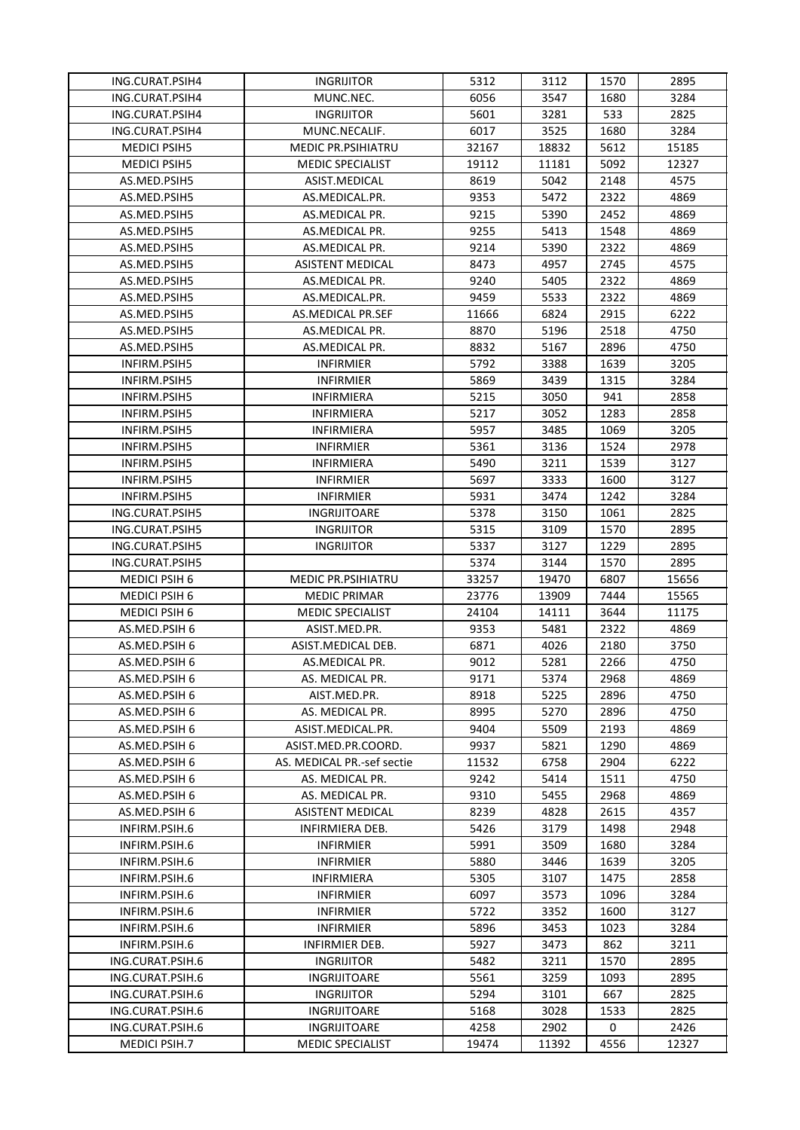| ING.CURAT.PSIH4      | <b>INGRIJITOR</b>          | 5312  | 3112  | 1570 | 2895  |
|----------------------|----------------------------|-------|-------|------|-------|
| ING.CURAT.PSIH4      | MUNC.NEC.                  | 6056  | 3547  | 1680 | 3284  |
| ING.CURAT.PSIH4      | <b>INGRIJITOR</b>          | 5601  | 3281  | 533  | 2825  |
| ING.CURAT.PSIH4      | MUNC.NECALIF.              | 6017  | 3525  | 1680 | 3284  |
| <b>MEDICI PSIH5</b>  | <b>MEDIC PR.PSIHIATRU</b>  | 32167 | 18832 | 5612 | 15185 |
| <b>MEDICI PSIH5</b>  | <b>MEDIC SPECIALIST</b>    | 19112 | 11181 | 5092 | 12327 |
| AS.MED.PSIH5         | ASIST.MEDICAL              | 8619  | 5042  | 2148 | 4575  |
| AS.MED.PSIH5         | AS.MEDICAL.PR.             | 9353  | 5472  | 2322 | 4869  |
| AS.MED.PSIH5         | AS.MEDICAL PR.             | 9215  | 5390  | 2452 | 4869  |
| AS.MED.PSIH5         | AS.MEDICAL PR.             | 9255  | 5413  | 1548 | 4869  |
| AS.MED.PSIH5         | AS.MEDICAL PR.             | 9214  | 5390  | 2322 | 4869  |
| AS.MED.PSIH5         | ASISTENT MEDICAL           | 8473  | 4957  | 2745 | 4575  |
| AS.MED.PSIH5         | AS.MEDICAL PR.             | 9240  | 5405  | 2322 | 4869  |
| AS.MED.PSIH5         | AS.MEDICAL.PR.             | 9459  | 5533  | 2322 | 4869  |
| AS.MED.PSIH5         | AS.MEDICAL PR.SEF          | 11666 | 6824  | 2915 | 6222  |
| AS.MED.PSIH5         | AS.MEDICAL PR.             | 8870  | 5196  | 2518 | 4750  |
| AS.MED.PSIH5         | AS.MEDICAL PR.             | 8832  | 5167  | 2896 | 4750  |
| INFIRM.PSIH5         | <b>INFIRMIER</b>           | 5792  | 3388  | 1639 | 3205  |
| INFIRM.PSIH5         | <b>INFIRMIER</b>           | 5869  | 3439  | 1315 | 3284  |
| INFIRM.PSIH5         | INFIRMIERA                 | 5215  | 3050  | 941  | 2858  |
| INFIRM.PSIH5         | INFIRMIERA                 | 5217  | 3052  | 1283 | 2858  |
| INFIRM.PSIH5         | <b>INFIRMIERA</b>          | 5957  | 3485  | 1069 | 3205  |
| INFIRM.PSIH5         | <b>INFIRMIER</b>           | 5361  | 3136  | 1524 | 2978  |
| INFIRM.PSIH5         | INFIRMIERA                 | 5490  | 3211  | 1539 | 3127  |
| INFIRM.PSIH5         | <b>INFIRMIER</b>           | 5697  | 3333  | 1600 | 3127  |
| INFIRM.PSIH5         | <b>INFIRMIER</b>           | 5931  | 3474  | 1242 | 3284  |
| ING.CURAT.PSIH5      | <b>INGRIJITOARE</b>        | 5378  | 3150  | 1061 | 2825  |
| ING.CURAT.PSIH5      | <b>INGRIJITOR</b>          | 5315  | 3109  | 1570 | 2895  |
| ING.CURAT.PSIH5      | <b>INGRIJITOR</b>          | 5337  | 3127  | 1229 | 2895  |
| ING.CURAT.PSIH5      |                            | 5374  | 3144  | 1570 | 2895  |
| MEDICI PSIH 6        | <b>MEDIC PR.PSIHIATRU</b>  | 33257 | 19470 | 6807 | 15656 |
| <b>MEDICI PSIH 6</b> | <b>MEDIC PRIMAR</b>        | 23776 | 13909 | 7444 | 15565 |
| MEDICI PSIH 6        | <b>MEDIC SPECIALIST</b>    | 24104 | 14111 | 3644 | 11175 |
| AS.MED.PSIH 6        | ASIST.MED.PR.              | 9353  | 5481  | 2322 | 4869  |
| AS.MED.PSIH 6        | ASIST.MEDICAL DEB.         | 6871  | 4026  | 2180 | 3750  |
| AS.MED.PSIH 6        | AS.MEDICAL PR.             | 9012  | 5281  | 2266 | 4750  |
| AS.MED.PSIH 6        | AS. MEDICAL PR.            | 9171  | 5374  | 2968 | 4869  |
| AS.MED.PSIH 6        | AIST.MED.PR.               | 8918  | 5225  | 2896 | 4750  |
| AS.MED.PSIH 6        | AS. MEDICAL PR.            | 8995  | 5270  | 2896 | 4750  |
| AS.MED.PSIH 6        | ASIST.MEDICAL.PR.          | 9404  | 5509  | 2193 | 4869  |
| AS.MED.PSIH 6        | ASIST.MED.PR.COORD.        | 9937  | 5821  | 1290 | 4869  |
| AS.MED.PSIH 6        | AS. MEDICAL PR.-sef sectie | 11532 | 6758  | 2904 | 6222  |
| AS.MED.PSIH 6        | AS. MEDICAL PR.            | 9242  | 5414  | 1511 | 4750  |
| AS.MED.PSIH 6        | AS. MEDICAL PR.            | 9310  | 5455  | 2968 | 4869  |
| AS.MED.PSIH 6        | ASISTENT MEDICAL           | 8239  | 4828  | 2615 | 4357  |
| INFIRM.PSIH.6        | INFIRMIERA DEB.            | 5426  | 3179  | 1498 | 2948  |
| INFIRM.PSIH.6        | <b>INFIRMIER</b>           | 5991  | 3509  | 1680 | 3284  |
| INFIRM.PSIH.6        | <b>INFIRMIER</b>           | 5880  | 3446  | 1639 | 3205  |
| INFIRM.PSIH.6        | INFIRMIERA                 | 5305  | 3107  | 1475 | 2858  |
| INFIRM.PSIH.6        | <b>INFIRMIER</b>           | 6097  | 3573  | 1096 | 3284  |
| INFIRM.PSIH.6        | <b>INFIRMIER</b>           | 5722  | 3352  | 1600 | 3127  |
| INFIRM.PSIH.6        | <b>INFIRMIER</b>           | 5896  | 3453  | 1023 | 3284  |
| INFIRM.PSIH.6        | INFIRMIER DEB.             | 5927  | 3473  | 862  | 3211  |
| ING.CURAT.PSIH.6     | <b>INGRIJITOR</b>          | 5482  | 3211  | 1570 | 2895  |
| ING.CURAT.PSIH.6     | INGRIJITOARE               | 5561  | 3259  | 1093 | 2895  |
| ING.CURAT.PSIH.6     | <b>INGRIJITOR</b>          | 5294  | 3101  | 667  | 2825  |
| ING.CURAT.PSIH.6     |                            |       | 3028  | 1533 | 2825  |
|                      | INGRIJITOARE               | 5168  |       |      |       |
| ING.CURAT.PSIH.6     | INGRIJITOARE               | 4258  | 2902  | 0    | 2426  |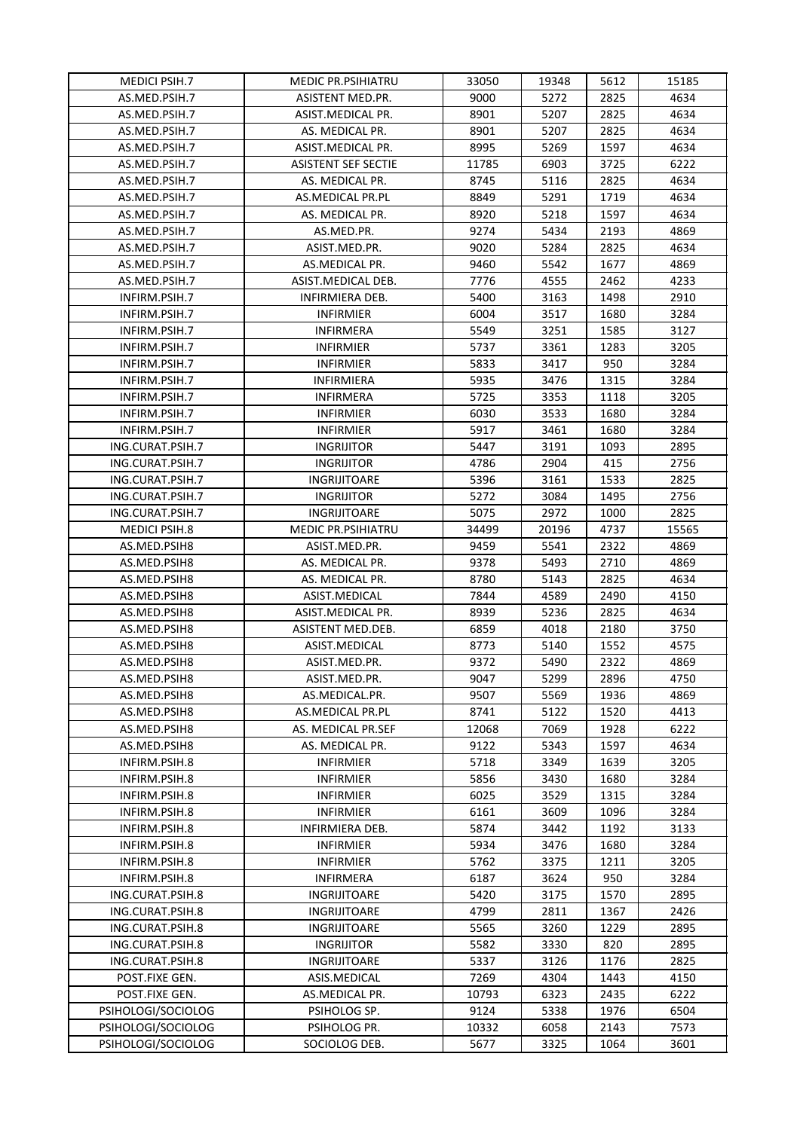| <b>MEDICI PSIH.7</b> | <b>MEDIC PR.PSIHIATRU</b>  | 33050 | 19348 | 5612 | 15185 |
|----------------------|----------------------------|-------|-------|------|-------|
| AS.MED.PSIH.7        | <b>ASISTENT MED.PR.</b>    | 9000  | 5272  | 2825 | 4634  |
| AS.MED.PSIH.7        | ASIST.MEDICAL PR.          | 8901  | 5207  | 2825 | 4634  |
| AS.MED.PSIH.7        | AS. MEDICAL PR.            | 8901  | 5207  | 2825 | 4634  |
| AS.MED.PSIH.7        | ASIST.MEDICAL PR.          | 8995  | 5269  | 1597 | 4634  |
| AS.MED.PSIH.7        | <b>ASISTENT SEF SECTIE</b> | 11785 | 6903  | 3725 | 6222  |
| AS.MED.PSIH.7        | AS. MEDICAL PR.            | 8745  | 5116  | 2825 | 4634  |
| AS.MED.PSIH.7        | AS.MEDICAL PR.PL           | 8849  | 5291  | 1719 | 4634  |
| AS.MED.PSIH.7        | AS. MEDICAL PR.            | 8920  | 5218  | 1597 | 4634  |
| AS.MED.PSIH.7        | AS.MED.PR.                 | 9274  | 5434  | 2193 | 4869  |
| AS.MED.PSIH.7        | ASIST.MED.PR.              | 9020  | 5284  | 2825 | 4634  |
| AS.MED.PSIH.7        | AS.MEDICAL PR.             | 9460  | 5542  | 1677 | 4869  |
| AS.MED.PSIH.7        | ASIST.MEDICAL DEB.         | 7776  | 4555  | 2462 | 4233  |
| INFIRM.PSIH.7        | INFIRMIERA DEB.            | 5400  | 3163  | 1498 | 2910  |
| INFIRM.PSIH.7        | <b>INFIRMIER</b>           | 6004  | 3517  | 1680 | 3284  |
| INFIRM.PSIH.7        | <b>INFIRMERA</b>           | 5549  | 3251  | 1585 | 3127  |
| INFIRM.PSIH.7        | <b>INFIRMIER</b>           | 5737  | 3361  | 1283 | 3205  |
| INFIRM.PSIH.7        | <b>INFIRMIER</b>           | 5833  | 3417  | 950  | 3284  |
| INFIRM.PSIH.7        | <b>INFIRMIERA</b>          | 5935  | 3476  | 1315 | 3284  |
| INFIRM.PSIH.7        | <b>INFIRMERA</b>           | 5725  | 3353  | 1118 | 3205  |
| INFIRM.PSIH.7        | <b>INFIRMIER</b>           | 6030  | 3533  | 1680 | 3284  |
| INFIRM.PSIH.7        | <b>INFIRMIER</b>           | 5917  | 3461  | 1680 | 3284  |
| ING.CURAT.PSIH.7     | <b>INGRIJITOR</b>          | 5447  | 3191  | 1093 | 2895  |
| ING.CURAT.PSIH.7     | <b>INGRIJITOR</b>          | 4786  | 2904  | 415  | 2756  |
| ING.CURAT.PSIH.7     | INGRIJITOARE               | 5396  | 3161  | 1533 | 2825  |
| ING.CURAT.PSIH.7     | <b>INGRIJITOR</b>          | 5272  | 3084  | 1495 | 2756  |
| ING.CURAT.PSIH.7     | INGRIJITOARE               | 5075  | 2972  | 1000 | 2825  |
| MEDICI PSIH.8        | <b>MEDIC PR.PSIHIATRU</b>  | 34499 | 20196 | 4737 | 15565 |
| AS.MED.PSIH8         | ASIST.MED.PR.              | 9459  | 5541  | 2322 | 4869  |
| AS.MED.PSIH8         | AS. MEDICAL PR.            | 9378  | 5493  | 2710 | 4869  |
| AS.MED.PSIH8         | AS. MEDICAL PR.            | 8780  | 5143  | 2825 | 4634  |
| AS.MED.PSIH8         | ASIST.MEDICAL              | 7844  | 4589  | 2490 | 4150  |
| AS.MED.PSIH8         | ASIST.MEDICAL PR.          | 8939  | 5236  | 2825 | 4634  |
| AS.MED.PSIH8         | ASISTENT MED.DEB.          | 6859  | 4018  | 2180 | 3750  |
| AS.MED.PSIH8         | ASIST.MEDICAL              | 8773  | 5140  | 1552 | 4575  |
| AS.MED.PSIH8         | ASIST.MED.PR.              | 9372  | 5490  | 2322 | 4869  |
| AS.MED.PSIH8         | ASIST.MED.PR.              | 9047  | 5299  | 2896 | 4750  |
| AS.MED.PSIH8         | AS.MEDICAL.PR.             | 9507  | 5569  | 1936 | 4869  |
| AS.MED.PSIH8         | AS.MEDICAL PR.PL           | 8741  | 5122  | 1520 | 4413  |
| AS.MED.PSIH8         | AS. MEDICAL PR.SEF         | 12068 | 7069  | 1928 | 6222  |
| AS.MED.PSIH8         | AS. MEDICAL PR.            | 9122  | 5343  | 1597 | 4634  |
| INFIRM.PSIH.8        | <b>INFIRMIER</b>           | 5718  | 3349  | 1639 | 3205  |
| INFIRM.PSIH.8        | <b>INFIRMIER</b>           | 5856  | 3430  | 1680 | 3284  |
| INFIRM.PSIH.8        | <b>INFIRMIER</b>           | 6025  | 3529  | 1315 | 3284  |
| INFIRM.PSIH.8        | <b>INFIRMIER</b>           | 6161  | 3609  | 1096 | 3284  |
| INFIRM.PSIH.8        | INFIRMIERA DEB.            | 5874  | 3442  | 1192 | 3133  |
| INFIRM.PSIH.8        | <b>INFIRMIER</b>           | 5934  | 3476  | 1680 | 3284  |
| INFIRM.PSIH.8        | <b>INFIRMIER</b>           | 5762  | 3375  | 1211 | 3205  |
| INFIRM.PSIH.8        | <b>INFIRMERA</b>           | 6187  | 3624  | 950  | 3284  |
| ING.CURAT.PSIH.8     | INGRIJITOARE               | 5420  | 3175  | 1570 | 2895  |
| ING.CURAT.PSIH.8     | INGRIJITOARE               | 4799  | 2811  | 1367 | 2426  |
| ING.CURAT.PSIH.8     | INGRIJITOARE               | 5565  | 3260  | 1229 | 2895  |
| ING.CURAT.PSIH.8     | <b>INGRIJITOR</b>          | 5582  | 3330  | 820  | 2895  |
| ING.CURAT.PSIH.8     | INGRIJITOARE               | 5337  | 3126  | 1176 | 2825  |
| POST.FIXE GEN.       | ASIS.MEDICAL               | 7269  | 4304  | 1443 | 4150  |
| POST.FIXE GEN.       | AS.MEDICAL PR.             | 10793 | 6323  | 2435 | 6222  |
| PSIHOLOGI/SOCIOLOG   | PSIHOLOG SP.               | 9124  | 5338  | 1976 | 6504  |
| PSIHOLOGI/SOCIOLOG   | PSIHOLOG PR.               | 10332 | 6058  | 2143 | 7573  |
| PSIHOLOGI/SOCIOLOG   | SOCIOLOG DEB.              | 5677  | 3325  | 1064 | 3601  |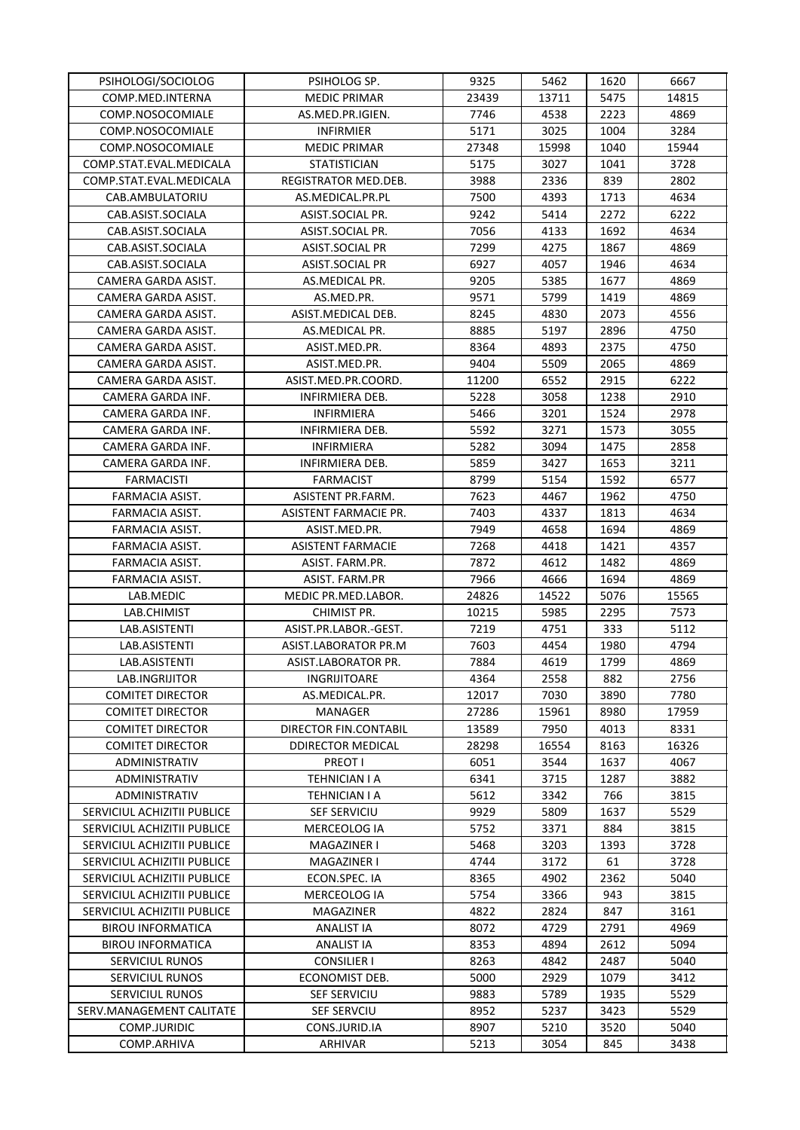| PSIHOLOGI/SOCIOLOG          | PSIHOLOG SP.             | 9325  | 5462  | 1620 | 6667  |
|-----------------------------|--------------------------|-------|-------|------|-------|
| COMP.MED.INTERNA            | <b>MEDIC PRIMAR</b>      | 23439 | 13711 | 5475 | 14815 |
| COMP.NOSOCOMIALE            | AS.MED.PR.IGIEN.         | 7746  | 4538  | 2223 | 4869  |
| COMP.NOSOCOMIALE            | <b>INFIRMIER</b>         | 5171  | 3025  | 1004 | 3284  |
| COMP.NOSOCOMIALE            | <b>MEDIC PRIMAR</b>      | 27348 | 15998 | 1040 | 15944 |
| COMP.STAT.EVAL.MEDICALA     | <b>STATISTICIAN</b>      | 5175  | 3027  | 1041 | 3728  |
| COMP.STAT.EVAL.MEDICALA     | REGISTRATOR MED.DEB.     | 3988  | 2336  | 839  | 2802  |
| CAB.AMBULATORIU             | AS.MEDICAL.PR.PL         | 7500  | 4393  | 1713 | 4634  |
| CAB.ASIST.SOCIALA           | ASIST.SOCIAL PR.         | 9242  | 5414  | 2272 | 6222  |
| CAB.ASIST.SOCIALA           | ASIST.SOCIAL PR.         | 7056  | 4133  | 1692 | 4634  |
| CAB.ASIST.SOCIALA           | ASIST.SOCIAL PR          | 7299  | 4275  | 1867 | 4869  |
| CAB.ASIST.SOCIALA           | ASIST.SOCIAL PR          | 6927  | 4057  | 1946 | 4634  |
| CAMERA GARDA ASIST.         | AS.MEDICAL PR.           | 9205  | 5385  | 1677 | 4869  |
| CAMERA GARDA ASIST.         | AS.MED.PR.               | 9571  | 5799  | 1419 | 4869  |
| CAMERA GARDA ASIST.         | ASIST.MEDICAL DEB.       | 8245  | 4830  | 2073 | 4556  |
| CAMERA GARDA ASIST.         | AS.MEDICAL PR.           | 8885  | 5197  | 2896 | 4750  |
| CAMERA GARDA ASIST.         | ASIST.MED.PR.            | 8364  | 4893  | 2375 | 4750  |
| CAMERA GARDA ASIST.         | ASIST.MED.PR.            | 9404  | 5509  | 2065 | 4869  |
| CAMERA GARDA ASIST.         | ASIST.MED.PR.COORD.      | 11200 | 6552  | 2915 | 6222  |
| CAMERA GARDA INF.           | INFIRMIERA DEB.          | 5228  | 3058  | 1238 | 2910  |
| CAMERA GARDA INF.           | INFIRMIERA               | 5466  | 3201  | 1524 | 2978  |
| CAMERA GARDA INF.           | <b>INFIRMIERA DEB.</b>   | 5592  | 3271  | 1573 | 3055  |
| CAMERA GARDA INF.           | INFIRMIERA               | 5282  | 3094  | 1475 | 2858  |
| CAMERA GARDA INF.           | INFIRMIERA DEB.          | 5859  | 3427  | 1653 | 3211  |
| <b>FARMACISTI</b>           | FARMACIST                | 8799  | 5154  | 1592 | 6577  |
| FARMACIA ASIST.             | ASISTENT PR.FARM.        | 7623  | 4467  | 1962 | 4750  |
| FARMACIA ASIST.             | ASISTENT FARMACIE PR.    | 7403  | 4337  | 1813 | 4634  |
| FARMACIA ASIST.             | ASIST.MED.PR.            | 7949  | 4658  | 1694 | 4869  |
| FARMACIA ASIST.             | <b>ASISTENT FARMACIE</b> | 7268  | 4418  | 1421 | 4357  |
| FARMACIA ASIST.             | ASIST. FARM.PR.          | 7872  | 4612  | 1482 | 4869  |
| FARMACIA ASIST.             | ASIST. FARM.PR           | 7966  | 4666  | 1694 | 4869  |
| LAB.MEDIC                   | MEDIC PR.MED.LABOR.      | 24826 | 14522 | 5076 | 15565 |
| LAB.CHIMIST                 | CHIMIST PR.              | 10215 | 5985  | 2295 | 7573  |
| LAB.ASISTENTI               | ASIST.PR.LABOR.-GEST.    | 7219  | 4751  | 333  | 5112  |
| LAB.ASISTENTI               | ASIST.LABORATOR PR.M     | 7603  | 4454  | 1980 | 4794  |
| LAB.ASISTENTI               | ASIST.LABORATOR PR.      | 7884  | 4619  | 1799 | 4869  |
| LAB.INGRIJITOR              | <b>INGRIJITOARE</b>      | 4364  | 2558  | 882  | 2756  |
| <b>COMITET DIRECTOR</b>     | AS.MEDICAL.PR.           | 12017 | 7030  | 3890 | 7780  |
| <b>COMITET DIRECTOR</b>     | MANAGER                  | 27286 | 15961 | 8980 | 17959 |
| <b>COMITET DIRECTOR</b>     | DIRECTOR FIN.CONTABIL    | 13589 | 7950  | 4013 | 8331  |
| <b>COMITET DIRECTOR</b>     | <b>DDIRECTOR MEDICAL</b> | 28298 | 16554 | 8163 | 16326 |
| ADMINISTRATIV               | <b>PREOT I</b>           | 6051  | 3544  | 1637 | 4067  |
| ADMINISTRATIV               | TEHNICIAN I A            | 6341  | 3715  | 1287 | 3882  |
| ADMINISTRATIV               | TEHNICIAN I A            | 5612  | 3342  | 766  | 3815  |
| SERVICIUL ACHIZITII PUBLICE | <b>SEF SERVICIU</b>      | 9929  | 5809  | 1637 | 5529  |
| SERVICIUL ACHIZITII PUBLICE | MERCEOLOG IA             | 5752  | 3371  | 884  | 3815  |
| SERVICIUL ACHIZITII PUBLICE | MAGAZINER I              | 5468  | 3203  | 1393 | 3728  |
| SERVICIUL ACHIZITII PUBLICE | MAGAZINER I              | 4744  | 3172  | 61   | 3728  |
| SERVICIUL ACHIZITII PUBLICE | ECON.SPEC. IA            | 8365  | 4902  | 2362 | 5040  |
| SERVICIUL ACHIZITII PUBLICE | MERCEOLOG IA             | 5754  | 3366  | 943  | 3815  |
| SERVICIUL ACHIZITII PUBLICE | MAGAZINER                | 4822  | 2824  | 847  | 3161  |
| <b>BIROU INFORMATICA</b>    | ANALIST IA               | 8072  | 4729  | 2791 | 4969  |
| <b>BIROU INFORMATICA</b>    | ANALIST IA               | 8353  | 4894  | 2612 | 5094  |
| <b>SERVICIUL RUNOS</b>      | <b>CONSILIER I</b>       | 8263  | 4842  | 2487 | 5040  |
| SERVICIUL RUNOS             | ECONOMIST DEB.           | 5000  | 2929  | 1079 | 3412  |
| <b>SERVICIUL RUNOS</b>      | SEF SERVICIU             | 9883  | 5789  | 1935 | 5529  |
| SERV.MANAGEMENT CALITATE    | SEF SERVCIU              | 8952  | 5237  | 3423 | 5529  |
| COMP.JURIDIC                | CONS.JURID.IA            | 8907  | 5210  | 3520 | 5040  |
| COMP.ARHIVA                 | ARHIVAR                  | 5213  | 3054  | 845  | 3438  |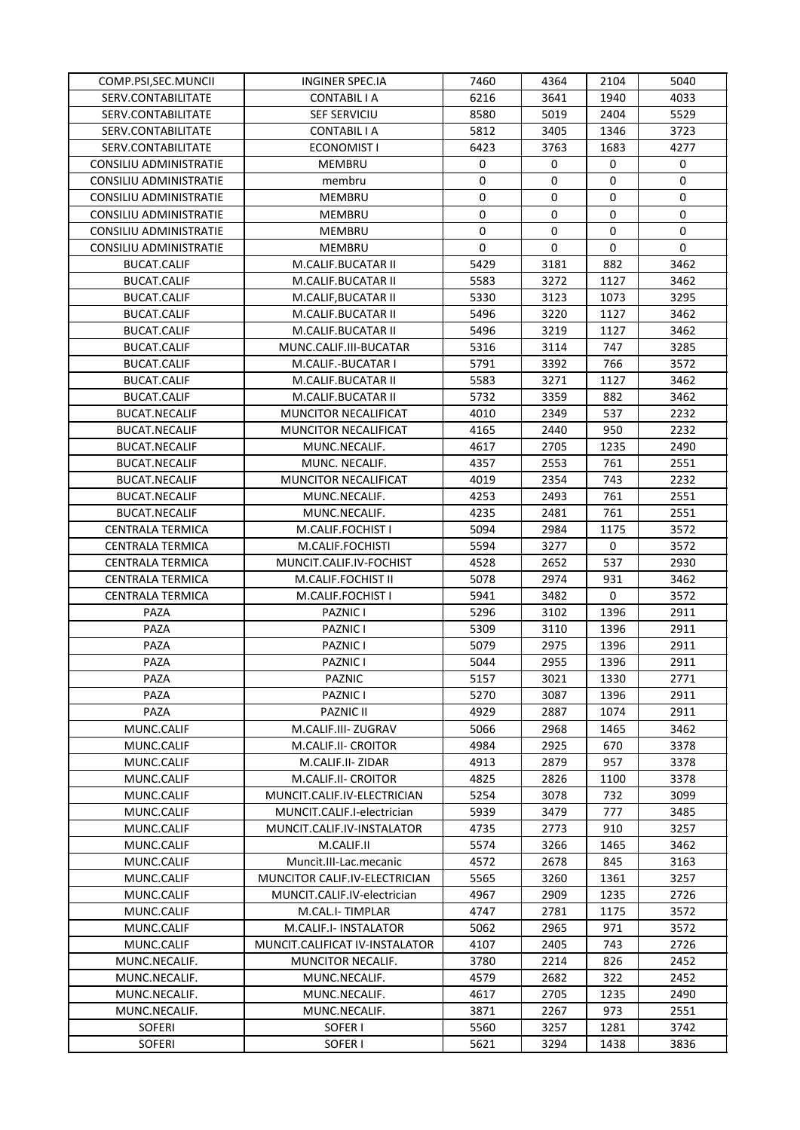| COMP.PSI, SEC. MUNCII         | INGINER SPEC.IA                | 7460        | 4364        | 2104 | 5040         |
|-------------------------------|--------------------------------|-------------|-------------|------|--------------|
| SERV.CONTABILITATE            | CONTABIL I A                   | 6216        | 3641        | 1940 | 4033         |
| SERV.CONTABILITATE            | <b>SEF SERVICIU</b>            | 8580        | 5019        | 2404 | 5529         |
| SERV.CONTABILITATE            | <b>CONTABIL I A</b>            | 5812        | 3405        | 1346 | 3723         |
| SERV.CONTABILITATE            | <b>ECONOMIST I</b>             | 6423        | 3763        | 1683 | 4277         |
| <b>CONSILIU ADMINISTRATIE</b> | MEMBRU                         | 0           | 0           | 0    | 0            |
| <b>CONSILIU ADMINISTRATIE</b> | membru                         | $\mathbf 0$ | $\mathbf 0$ | 0    | 0            |
| CONSILIU ADMINISTRATIE        | MEMBRU                         | 0           | 0           | 0    | 0            |
| CONSILIU ADMINISTRATIE        | MEMBRU                         | $\mathbf 0$ | 0           | 0    | 0            |
| CONSILIU ADMINISTRATIE        | MEMBRU                         | $\mathbf 0$ | 0           | 0    | 0            |
| <b>CONSILIU ADMINISTRATIE</b> | MEMBRU                         | $\mathbf 0$ | $\mathbf 0$ | 0    | $\mathbf{0}$ |
| <b>BUCAT.CALIF</b>            | M.CALIF.BUCATAR II             | 5429        | 3181        | 882  | 3462         |
| <b>BUCAT.CALIF</b>            | M.CALIF.BUCATAR II             | 5583        | 3272        | 1127 | 3462         |
| <b>BUCAT.CALIF</b>            | M.CALIF, BUCATAR II            | 5330        | 3123        | 1073 | 3295         |
| <b>BUCAT.CALIF</b>            | M.CALIF.BUCATAR II             | 5496        | 3220        | 1127 | 3462         |
| <b>BUCAT.CALIF</b>            | M.CALIF.BUCATAR II             | 5496        | 3219        | 1127 | 3462         |
| BUCAT.CALIF                   | MUNC.CALIF.III-BUCATAR         | 5316        | 3114        | 747  | 3285         |
| <b>BUCAT.CALIF</b>            | M.CALIF.-BUCATAR I             | 5791        | 3392        | 766  | 3572         |
| <b>BUCAT.CALIF</b>            | M.CALIF.BUCATAR II             | 5583        | 3271        | 1127 | 3462         |
| <b>BUCAT.CALIF</b>            | M.CALIF.BUCATAR II             | 5732        | 3359        | 882  | 3462         |
| <b>BUCAT.NECALIF</b>          | MUNCITOR NECALIFICAT           | 4010        | 2349        | 537  | 2232         |
| <b>BUCAT.NECALIF</b>          | MUNCITOR NECALIFICAT           | 4165        | 2440        | 950  | 2232         |
| <b>BUCAT.NECALIF</b>          |                                |             |             |      |              |
|                               | MUNC.NECALIF.                  | 4617        | 2705        | 1235 | 2490         |
| <b>BUCAT.NECALIF</b>          | MUNC. NECALIF.                 | 4357        | 2553        | 761  | 2551         |
| <b>BUCAT.NECALIF</b>          | MUNCITOR NECALIFICAT           | 4019        | 2354        | 743  | 2232         |
| <b>BUCAT.NECALIF</b>          | MUNC.NECALIF.                  | 4253        | 2493        | 761  | 2551         |
| <b>BUCAT.NECALIF</b>          | MUNC.NECALIF.                  | 4235        | 2481        | 761  | 2551         |
| CENTRALA TERMICA              | M.CALIF.FOCHIST I              | 5094        | 2984        | 1175 | 3572         |
| <b>CENTRALA TERMICA</b>       | M.CALIF.FOCHISTI               | 5594        | 3277        | 0    | 3572         |
| CENTRALA TERMICA              | MUNCIT.CALIF.IV-FOCHIST        | 4528        | 2652        | 537  | 2930         |
| <b>CENTRALA TERMICA</b>       | M.CALIF.FOCHIST II             | 5078        | 2974        | 931  | 3462         |
| <b>CENTRALA TERMICA</b>       | M.CALIF.FOCHIST I              | 5941        | 3482        | 0    | 3572         |
| PAZA                          | PAZNIC I                       | 5296        | 3102        | 1396 | 2911         |
| PAZA                          | PAZNIC I                       | 5309        | 3110        | 1396 | 2911         |
| PAZA                          | PAZNIC I                       | 5079        | 2975        | 1396 | 2911         |
| PAZA                          | PAZNIC I                       | 5044        | 2955        | 1396 | 2911         |
| PAZA                          | PAZNIC                         | 5157        | 3021        | 1330 | 2771         |
| PAZA                          | PAZNIC I                       | 5270        | 3087        | 1396 | 2911         |
| PAZA                          | <b>PAZNIC II</b>               | 4929        | 2887        | 1074 | 2911         |
| MUNC.CALIF                    | M.CALIF.III- ZUGRAV            | 5066        | 2968        | 1465 | 3462         |
| MUNC.CALIF                    | M.CALIF.II- CROITOR            | 4984        | 2925        | 670  | 3378         |
| MUNC.CALIF                    | M.CALIF.II-ZIDAR               | 4913        | 2879        | 957  | 3378         |
| MUNC.CALIF                    | M.CALIF.II- CROITOR            | 4825        | 2826        | 1100 | 3378         |
| MUNC.CALIF                    | MUNCIT.CALIF.IV-ELECTRICIAN    | 5254        | 3078        | 732  | 3099         |
| MUNC.CALIF                    | MUNCIT.CALIF.I-electrician     | 5939        | 3479        | 777  | 3485         |
| MUNC.CALIF                    | MUNCIT.CALIF.IV-INSTALATOR     | 4735        | 2773        | 910  | 3257         |
| MUNC.CALIF                    | M.CALIF.II                     | 5574        | 3266        | 1465 | 3462         |
| MUNC.CALIF                    | Muncit.III-Lac.mecanic         | 4572        | 2678        | 845  | 3163         |
| MUNC.CALIF                    | MUNCITOR CALIF.IV-ELECTRICIAN  | 5565        | 3260        | 1361 | 3257         |
| MUNC.CALIF                    | MUNCIT.CALIF.IV-electrician    | 4967        | 2909        | 1235 | 2726         |
| MUNC.CALIF                    | M.CAL.I-TIMPLAR                | 4747        | 2781        | 1175 | 3572         |
| MUNC.CALIF                    | M.CALIF.I- INSTALATOR          | 5062        | 2965        | 971  | 3572         |
| MUNC.CALIF                    | MUNCIT.CALIFICAT IV-INSTALATOR | 4107        | 2405        | 743  | 2726         |
| MUNC.NECALIF.                 | MUNCITOR NECALIF.              | 3780        | 2214        | 826  | 2452         |
| MUNC.NECALIF.                 | MUNC.NECALIF.                  | 4579        | 2682        | 322  | 2452         |
| MUNC.NECALIF.                 | MUNC.NECALIF.                  | 4617        | 2705        | 1235 | 2490         |
| MUNC.NECALIF.                 | MUNC.NECALIF.                  | 3871        | 2267        | 973  | 2551         |
| <b>SOFERI</b>                 | SOFER I                        | 5560        | 3257        | 1281 | 3742         |
| <b>SOFERI</b>                 | SOFER I                        | 5621        | 3294        | 1438 | 3836         |